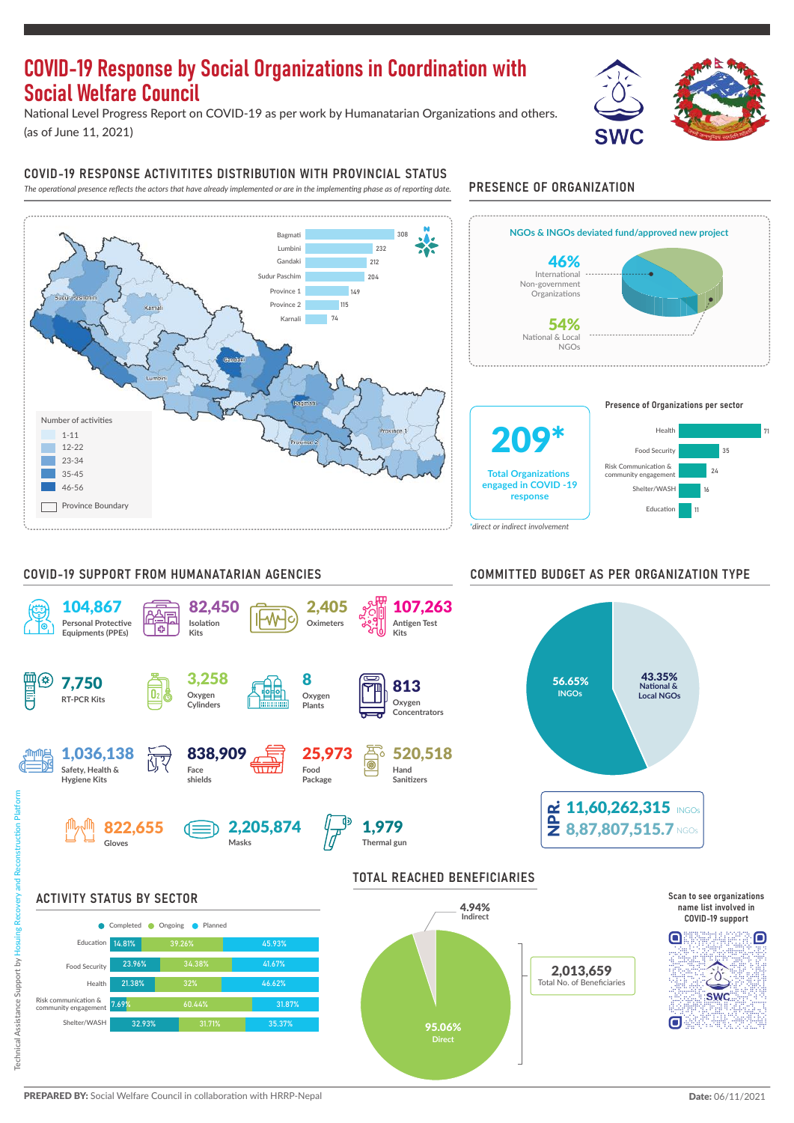# COVID-19 Response by Social Organizations in Coordination with Social Welfare Council

National Level Progress Report on COVID-19 as per work by Humanatarian Organizations and others. (as of June 11, 2021)



#### COVID-19 RESPONSE ACTIVITITES DISTRIBUTION WITH PROVINCIAL STATUS

*The operational presence reflects the actors that have already implemented or are in the implementing phase as of reporting date.* PRESENCE OF ORGANIZATION